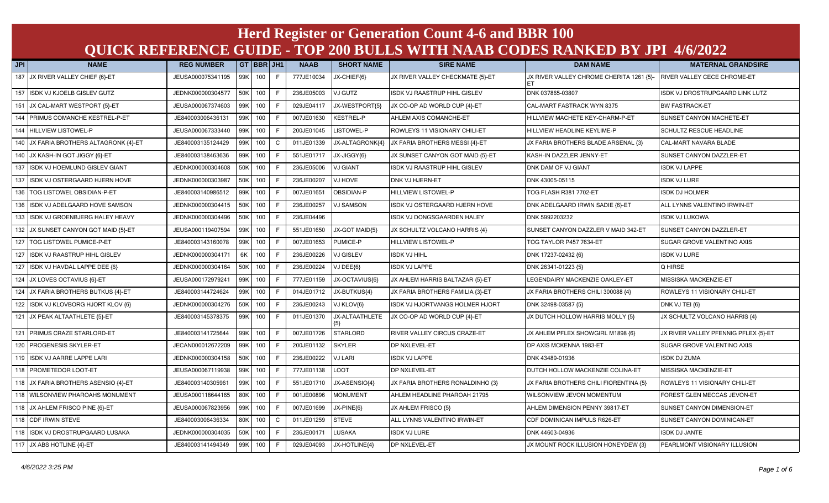## **JPI NAME REG NUMBER GT BBR JH1 NAAB SHORT NAME SIRE NAME DAM NAME MATERNAL GRANDSIRE Herd Register or Generation Count 4-6 and BBR 100 QUICK REFERENCE GUIDE - TOP 200 BULLS WITH NAAB CODES RANKED BY JPI 4/6/2022**

| JFI | <b>NAME</b>                            | <b>KEG NUMBER</b> |     | 51      |              | <b>NAAD</b> | <b>SHURINAME</b> | <b>SIRE NAME</b>                    | <b>UAM NAME</b>                          | <b>MAI ERNAL GRANDSIRE</b>           |
|-----|----------------------------------------|-------------------|-----|---------|--------------|-------------|------------------|-------------------------------------|------------------------------------------|--------------------------------------|
|     | 187 JX RIVER VALLEY CHIEF {6}-ET       | JEUSA000075341195 |     | 99K 100 | F            | 777JE10034  | JX-CHIEF{6}      | JX RIVER VALLEY CHECKMATE {5}-ET    | JX RIVER VALLEY CHROME CHERITA 1261 {5}- | <b>RIVER VALLEY CECE CHROME-ET</b>   |
|     | 157 ISDK VJ KJOELB GISLEV GUTZ         | JEDNK000000304577 |     | 50K 100 | F            | 236JE05003  | VJ GUTZ          | <b>SDK VJ RAASTRUP HIHL GISLEV</b>  | DNK 037865-03807                         | ISDK VJ DROSTRUPGAARD LINK LUTZ      |
|     | 151 JX CAL-MART WESTPORT {5}-ET        | JEUSA000067374603 |     | 99K 100 | F.           | 029JE04117  | JX-WESTPORT{5}   | JX CO-OP AD WORLD CUP {4}-ET        | CAL-MART FASTRACK WYN 8375               | <b>BW FASTRACK-ET</b>                |
|     | 144 PRIMUS COMANCHE KESTREL-P-ET       | JE840003006436131 |     | 99K 100 | F            | 007JE01630  | <b>KESTREL-P</b> | AHLEM AXIS COMANCHE-ET              | HILLVIEW MACHETE KEY-CHARM-P-ET          | SUNSET CANYON MACHETE-ET             |
|     | 144 HILLVIEW LISTOWEL-P                | JEUSA000067333440 |     | 99K 100 | F.           | 200JE01045  | LISTOWEL-P       | ROWLEYS 11 VISIONARY CHILI-ET       | HILLVIEW HEADLINE KEYLIME-P              | <b>SCHULTZ RESCUE HEADLINE</b>       |
|     | 140 JX FARIA BROTHERS ALTAGRONK {4}-ET | JE840003135124429 |     | 99K 100 | $\mathsf{C}$ | 011JE01339  | JX-ALTAGRONK{4}  | JX FARIA BROTHERS MESSI {4}-ET      | JX FARIA BROTHERS BLADE ARSENAL {3}      | CAL-MART NAVARA BLADE                |
| 140 | JX KASH-IN GOT JIGGY {6}-ET            | JE840003138463636 |     | 99K 100 |              | 551JE01717  | JX-JIGGY{6}      | JX SUNSET CANYON GOT MAID {5}-ET    | KASH-IN DAZZLER JENNY-ET                 | SUNSET CANYON DAZZLER-ET             |
| 137 | ISDK VJ HOEMLUND GISLEV GIANT          | JEDNK000000304608 |     | 50K 100 | F.           | 236JE05006  | <b>VJ GIANT</b>  | <b>SDK VJ RAASTRUP HIHL GISLEV</b>  | DNK DAM OF VJ GIANT                      | <b>ISDK VJ LAPPE</b>                 |
| 137 | ISDK VJ OSTERGAARD HJERN HOVE          | JEDNK000000303987 |     | 50K 100 | E.           | 236JE00207  | <b>VJ HOVE</b>   | DNK VJ HJERN-ET                     | DNK 43005-05115                          | <b>ISDK VJ LURE</b>                  |
|     | 136 TOG LISTOWEL OBSIDIAN-P-ET         | JE840003140986512 |     | 99K 100 | F.           | 007JE01651  | OBSIDIAN-P       | <b>HILLVIEW LISTOWEL-P</b>          | TOG FLASH R381 7702-ET                   | <b>ISDK DJ HOLMER</b>                |
|     | 136 ISDK VJ ADELGAARD HOVE SAMSON      | JEDNK000000304415 |     | 50K 100 |              | 236JE00257  | <b>VJ SAMSON</b> | <b>SDK VJ OSTERGAARD HJERN HOVE</b> | DNK ADELGAARD IRWIN SADIE {6}-ET         | ALL LYNNS VALENTINO IRWIN-ET         |
| 133 | ISDK VJ GROENBJERG HALEY HEAVY         | JEDNK000000304496 |     | 50K 100 |              | 236JE04496  |                  | <b>SDK VJ DONGSGAARDEN HALEY</b>    | DNK 5992203232                           | <b>ISDK VJ LUKOWA</b>                |
|     | 132 JX SUNSET CANYON GOT MAID {5}-ET   | JEUSA000119407594 |     | 99K 100 |              | 551JE01650  | JX-GOT MAID{5}   | JX SCHULTZ VOLCANO HARRIS {4}       | SUNSET CANYON DAZZLER V MAID 342-ET      | SUNSET CANYON DAZZLER-ET             |
|     | 127 TOG LISTOWEL PUMICE-P-ET           | JE840003143160078 |     | 99K 100 |              | 007JE01653  | PUMICE-P         | HILLVIEW LISTOWEL-P                 | TOG TAYLOR P457 7634-ET                  | SUGAR GROVE VALENTINO AXIS           |
|     | 127 ISDK VJ RAASTRUP HIHL GISLEV       | JEDNK000000304171 | 6K  | 100     | F.           | 236JE00226  | VJ GISLEV        | <b>SDK VJ HIHL</b>                  | DNK 17237-02432 {6}                      | <b>ISDK VJ LURE</b>                  |
|     | 127 ISDK VJ HAVDAL LAPPE DEE {6}       | JEDNK000000304164 | 50K | 100     | F.           | 236JE00224  | VJ DEE{6}        | <b>SDK VJ LAPPE</b>                 | DNK 26341-01223 {5}                      | Q HIRSE                              |
|     | 124 JX LOVES OCTAVIUS {6}-ET           | JEUSA000172979241 |     | 99K 100 | F.           | 777JE01159  | JX-OCTAVIUS{6}   | JX AHLEM HARRIS BALTAZAR {5}-ET     | LEGENDAIRY MACKENZIE OAKLEY-ET           | MISSISKA MACKENZIE-ET                |
|     | 124 JX FARIA BROTHERS BUTKUS {4}-ET    | JE840003144724624 |     | 99K 100 | F.           | 014JE01712  | JX-BUTKUS{4}     | JX FARIA BROTHERS FAMILIA {3}-ET    | JX FARIA BROTHERS CHILI 300088 {4}       | ROWLEYS 11 VISIONARY CHILI-ET        |
|     | 122 ISDK VJ KLOVBORG HJORT KLOV {6}    | JEDNK000000304276 |     | 50K 100 |              | 236JE00243  | VJ KLOV{6}       | ISDK VJ HJORTVANGS HOLMER HJORT     | DNK 32498-03587 {5}                      | DNK VJ TEI {6}                       |
|     | 121 JX PEAK ALTAATHLETE {5}-ET         | JE840003145378375 |     | 99K 100 |              | 011JE01370  | JX-ALTAATHLETE   | JX CO-OP AD WORLD CUP {4}-ET        | JX DUTCH HOLLOW HARRIS MOLLY {5}         | JX SCHULTZ VOLCANO HARRIS {4}        |
|     | 121 PRIMUS CRAZE STARLORD-ET           | JE840003141725644 |     | 99K 100 | F.           | 007JE01726  | <b>STARLORD</b>  | RIVER VALLEY CIRCUS CRAZE-ET        | JX AHLEM PFLEX SHOWGIRL M1898 {6}        | JX RIVER VALLEY PFENNIG PFLEX {5}-ET |
|     | 120 PROGENESIS SKYLER-ET               | JECAN000012672209 |     | 99K 100 |              | 200JE01132  | <b>SKYLER</b>    | DP NXLEVEL-ET                       | DP AXIS MCKENNA 1983-ET                  | SUGAR GROVE VALENTINO AXIS           |
| 119 | ISDK VJ AARRE LAPPE LARI               | JEDNK000000304158 |     | 50K 100 |              | 236JE00222  | <b>VJ LARI</b>   | <b>SDK VJ LAPPE</b>                 | DNK 43489-01936                          | <b>ISDK DJ ZUMA</b>                  |
|     | 118 PROMETEDOR LOOT-ET                 | JEUSA000067119938 |     | 99K 100 | F.           | 777JE01138  | LOOT             | DP NXLEVEL-ET                       | DUTCH HOLLOW MACKENZIE COLINA-ET         | MISSISKA MACKENZIE-ET                |
|     | 118 JX FARIA BROTHERS ASENSIO {4}-ET   | JE840003140305961 |     | 99K 100 | F.           | 551JE01710  | JX-ASENSIO{4}    | JX FARIA BROTHERS RONALDINHO {3}    | JX FARIA BROTHERS CHILI FIORENTINA {5}   | ROWLEYS 11 VISIONARY CHILI-ET        |
|     | 118 WILSONVIEW PHAROAHS MONUMENT       | JEUSA000118644165 |     | 80K 100 | F.           | 001JE00896  | <b>MONUMENT</b>  | AHLEM HEADLINE PHAROAH 21795        | WILSONVIEW JEVON MOMENTUM                | FOREST GLEN MECCAS JEVON-ET          |
|     | 118 JX AHLEM FRISCO PINE {6}-ET        | JEUSA000067823956 |     | 99K 100 |              | 007JE01699  | JX-PINE{6}       | JX AHLEM FRISCO {5}                 | AHLEM DIMENSION PENNY 39817-ET           | <b>SUNSET CANYON DIMENSION-ET</b>    |
|     | 118 CDF IRWIN STEVE                    | JE840003006436334 |     | 80K 100 | $\mathbf{C}$ | 011JE01259  | <b>STEVE</b>     | ALL LYNNS VALENTINO IRWIN-ET        | CDF DOMINICAN IMPULS R626-ET             | SUNSET CANYON DOMINICAN-ET           |
|     | 118 ISDK VJ DROSTRUPGAARD LUSAKA       | JEDNK000000304035 |     | 50K 100 | F.           | 236JE00171  | <b>LUSAKA</b>    | <b>SDK VJ LURE</b>                  | DNK 44603-04936                          | ISDK DJ JANTE                        |
|     | 117 JX ABS HOTLINE {4}-ET              | JE840003141494349 |     | 99K 100 | F.           | 029JE04093  | JX-HOTLINE{4}    | DP NXLEVEL-ET                       | JX MOUNT ROCK ILLUSION HONEYDEW {3}      | PEARLMONT VISIONARY ILLUSION         |
|     |                                        |                   |     |         |              |             |                  |                                     |                                          |                                      |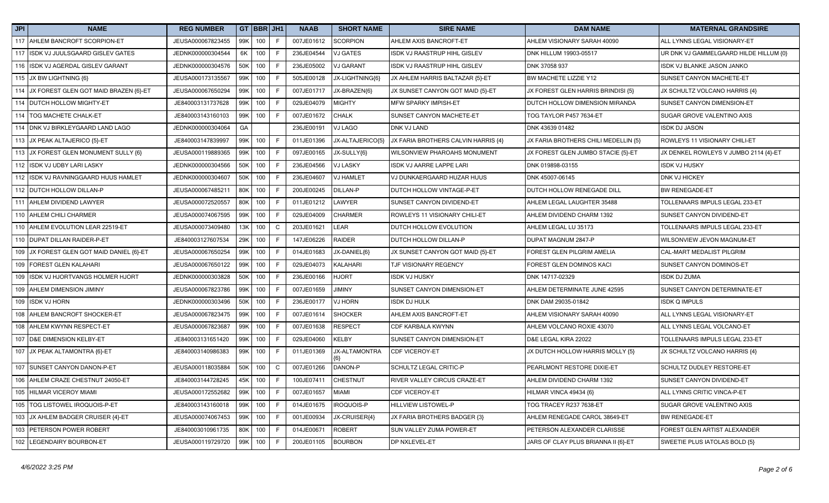| JPI | <b>NAME</b>                               | <b>REG NUMBER</b> |     | GT BBR JH1 |              | <b>NAAB</b> | <b>SHORT NAME</b> | <b>SIRE NAME</b>                    | <b>DAM NAME</b>                      | <b>MATERNAL GRANDSIRE</b>              |
|-----|-------------------------------------------|-------------------|-----|------------|--------------|-------------|-------------------|-------------------------------------|--------------------------------------|----------------------------------------|
|     | 117 AHLEM BANCROFT SCORPION-ET            | JEUSA000067823455 |     | 99K 100    | F            | 007JE01612  | <b>SCORPION</b>   | AHLEM AXIS BANCROFT-ET              | AHLEM VISIONARY SARAH 40090          | ALL LYNNS LEGAL VISIONARY-ET           |
| 117 | ISDK VJ JUULSGAARD GISLEV GATES           | JEDNK000000304544 | 6K  | 100        | F            | 236JE04544  | <b>VJ GATES</b>   | ISDK VJ RAASTRUP HIHL GISLEV        | DNK HILLUM 19903-05517               | UR DNK VJ GAMMELGAARD HILDE HILLUM {0} |
|     | 116 ISDK VJ AGERDAL GISLEV GARANT         | JEDNK000000304576 |     | 50K 100    | E            | 236JE05002  | <b>VJ GARANT</b>  | ISDK VJ RAASTRUP HIHL GISLEV        | DNK 37058 937                        | ISDK VJ BLANKE JASON JANKO             |
|     | 115 JX BW LIGHTNING {6}                   | JEUSA000173135567 |     | 99K 100    | F            | 505JE00128  | JX-LIGHTNING{6}   | JX AHLEM HARRIS BALTAZAR {5}-ET     | BW MACHETE LIZZIE Y12                | SUNSET CANYON MACHETE-ET               |
|     | 114 JX FOREST GLEN GOT MAID BRAZEN {6}-ET | JEUSA000067650294 | 99K | 100        | F            | 007JE01717  | JX-BRAZEN{6}      | JX SUNSET CANYON GOT MAID {5}-ET    | JX FOREST GLEN HARRIS BRINDISI {5}   | JX SCHULTZ VOLCANO HARRIS {4}          |
|     | 114 DUTCH HOLLOW MIGHTY-ET                | JE840003131737628 |     | 99K 100    | F.           | 029JE04079  | <b>MIGHTY</b>     | MFW SPARKY IMPISH-ET                | DUTCH HOLLOW DIMENSION MIRANDA       | SUNSET CANYON DIMENSION-ET             |
|     | 114   TOG MACHETE CHALK-ET                | JE840003143160103 |     | 99K 100    | F            | 007JE01672  | <b>CHALK</b>      | SUNSET CANYON MACHETE-ET            | TOG TAYLOR P457 7634-ET              | SUGAR GROVE VALENTINO AXIS             |
|     | 114 DNK VJ BIRKLEYGAARD LAND LAGO         | JEDNK000000304064 | GA  |            |              | 236JE00191  | VJ LAGO           | <b>DNK VJ LAND</b>                  | DNK 43639 01482                      | <b>ISDK DJ JASON</b>                   |
|     | 113 JX PEAK ALTAJERICO {5}-ET             | JE840003147839997 |     | 99K 100    | F            | 011JE01396  | JX-ALTAJERICO{5}  | JX FARIA BROTHERS CALVIN HARRIS {4} | JX FARIA BROTHERS CHILI MEDELLIN {5} | ROWLEYS 11 VISIONARY CHILI-ET          |
|     | 113 JX FOREST GLEN MONUMENT SULLY {6}     | JEUSA000119889365 |     | 99K 100    | E            | 097JE00165  | JX-SULLY{6}       | WILSONVIEW PHAROAHS MONUMENT        | JX FOREST GLEN JUMBO STACIE {5}-ET   | JX DENKEL ROWLEYS V JUMBO 2114 {4}-ET  |
|     | 112 ISDK VJ UDBY LARI LASKY               | JEDNK000000304566 | 50K | 100        | F            | 236JE04566  | <b>VJ LASKY</b>   | ISDK VJ AARRE LAPPE LARI            | DNK 019898-03155                     | <b>ISDK VJ HUSKY</b>                   |
|     | 112 ISDK VJ RAVNINGGAARD HUUS HAMLET      | JEDNK000000304607 | 50K | 100        | F            | 236JE04607  | <b>VJ HAMLET</b>  | VJ DUNKAERGAARD HUZAR HUUS          | DNK 45007-06145                      | DNK VJ HICKEY                          |
|     | 112 DUTCH HOLLOW DILLAN-P                 | JEUSA000067485211 | 80K | 100        | E            | 200JE00245  | <b>DILLAN-P</b>   | DUTCH HOLLOW VINTAGE-P-ET           | DUTCH HOLLOW RENEGADE DILL           | <b>BW RENEGADE-ET</b>                  |
|     | 111 AHLEM DIVIDEND LAWYER                 | JEUSA000072520557 |     | 80K 100    | E            | 011JE01212  | LAWYER            | SUNSET CANYON DIVIDEND-ET           | AHLEM LEGAL LAUGHTER 35488           | TOLLENAARS IMPULS LEGAL 233-ET         |
|     | 110 AHLEM CHILI CHARMER                   | JEUSA000074067595 |     | 99K 100    | E            | 029JE04009  | <b>CHARMER</b>    | ROWLEYS 11 VISIONARY CHILI-ET       | AHLEM DIVIDEND CHARM 1392            | SUNSET CANYON DIVIDEND-ET              |
|     | 110 AHLEM EVOLUTION LEAR 22519-ET         | JEUSA000073409480 | 13K | 100        | $\mathsf{C}$ | 203JE01621  | LEAR              | DUTCH HOLLOW EVOLUTION              | AHLEM LEGAL LU 35173                 | TOLLENAARS IMPULS LEGAL 233-ET         |
|     | 110 DUPAT DILLAN RAIDER-P-ET              | JE840003127607534 | 29K | 100        | F            | 147JE06226  | <b>RAIDER</b>     | DUTCH HOLLOW DILLAN-P               | DUPAT MAGNUM 2847-P                  | WILSONVIEW JEVON MAGNUM-ET             |
|     | 109 JX FOREST GLEN GOT MAID DANIEL {6}-ET | JEUSA000067650254 | 99K | 100        | F            | 014JE01683  | JX-DANIEL{6}      | JX SUNSET CANYON GOT MAID {5}-ET    | FOREST GLEN PILGRIM AMELIA           | CAL-MART MEDALIST PILGRIM              |
|     | 109 FOREST GLEN KALAHARI                  | JEUSA000067650122 | 99K | 100        | E            | 029JE04073  | KALAHARI          | <b>TJF VISIONARY REGENCY</b>        | FOREST GLEN DOMINOS KACI             | SUNSET CANYON DOMINOS-ET               |
| 109 | ISDK VJ HJORTVANGS HOLMER HJORT           | JEDNK000000303828 |     | 50K 100    | F            | 236JE00166  | <b>HJORT</b>      | ISDK VJ HUSKY                       | DNK 14717-02329                      | <b>ISDK DJ ZUMA</b>                    |
|     | 109 AHLEM DIMENSION JIMINY                | JEUSA000067823786 |     | 99K 100    | F            | 007JE01659  | <b>YIMINT</b>     | SUNSET CANYON DIMENSION-ET          | AHLEM DETERMINATE JUNE 42595         | SUNSET CANYON DETERMINATE-ET           |
|     | 109 ISDK VJ HORN                          | JEDNK000000303496 | 50K | 100        | F            | 236JE00177  | <b>VJ HORN</b>    | <b>ISDK DJ HULK</b>                 | DNK DAM 29035-01842                  | <b>ISDK Q IMPULS</b>                   |
| 108 | AHLEM BANCROFT SHOCKER-ET                 | JEUSA000067823475 | 99K | 100        | F            | 007JE01614  | <b>SHOCKER</b>    | AHLEM AXIS BANCROFT-ET              | AHLEM VISIONARY SARAH 40090          | ALL LYNNS LEGAL VISIONARY-ET           |
|     | 108 AHLEM KWYNN RESPECT-ET                | JEUSA000067823687 |     | 99K 100    | E            | 007JE01638  | <b>RESPECT</b>    | CDF KARBALA KWYNN                   | AHLEM VOLCANO ROXIE 43070            | ALL LYNNS LEGAL VOLCANO-ET             |
| 107 | <b>D&amp;E DIMENSION KELBY-ET</b>         | JE840003131651420 |     | 99K 100    | E            | 029JE04060  | <b>KELBY</b>      | SUNSET CANYON DIMENSION-ET          | D&E LEGAL KIRA 22022                 | TOLLENAARS IMPULS LEGAL 233-ET         |
|     | 107 JX PEAK ALTAMONTRA {6}-ET             | JE840003140986383 |     | 99K 100    | F            | 011JE01369  | JX-ALTAMONTRA     | <b>CDF VICEROY-ET</b>               | JX DUTCH HOLLOW HARRIS MOLLY {5}     | JX SCHULTZ VOLCANO HARRIS {4}          |
| 107 | SUNSET CANYON DANON-P-ET                  | JEUSA000118035884 |     | 50K 100    | $\mathbf C$  | 007JE01266  | DANON-P           | SCHULTZ LEGAL CRITIC-P              | PEARLMONT RESTORE DIXIE-ET           | SCHULTZ DUDLEY RESTORE-ET              |
|     | 106 AHLEM CRAZE CHESTNUT 24050-ET         | JE840003144728245 |     | 45K 100    | F            | 100JE07411  | <b>CHESTNUT</b>   | RIVER VALLEY CIRCUS CRAZE-ET        | AHLEM DIVIDEND CHARM 1392            | SUNSET CANYON DIVIDEND-ET              |
|     | 105 HILMAR VICEROY MIAMI                  | JEUSA000172552682 |     | 99K 100    | F            | 007JE01657  | <b>MIAMI</b>      | CDF VICEROY-ET                      | <b>HILMAR VINCA 49434 {6}</b>        | ALL LYNNS CRITIC VINCA-P-ET            |
|     | 105   TOG LISTOWEL IROQUOIS-P-ET          | JE840003143160018 | 99K | 100        | F.           | 014JE01675  | IROQUOIS-P        | <b>HILLVIEW LISTOWEL-P</b>          | TOG TRACEY R237 7638-ET              | SUGAR GROVE VALENTINO AXIS             |
|     | 103 JX AHLEM BADGER CRUISER {4}-ET        | JEUSA000074067453 |     | 99K 100    | E            | 001JE00934  | JX-CRUISER{4}     | JX FARIA BROTHERS BADGER {3}        | AHLEM RENEGADE CAROL 38649-ET        | <b>BW RENEGADE-ET</b>                  |
|     | 103 PETERSON POWER ROBERT                 | JE840003010961735 | 80K | 100        | F.           | 014JE00671  | <b>ROBERT</b>     | SUN VALLEY ZUMA POWER-ET            | PETERSON ALEXANDER CLARISSE          | FOREST GLEN ARTIST ALEXANDER           |
|     | 102 LEGENDAIRY BOURBON-ET                 | JEUSA000119729720 |     | 99K 100    | F            | 200JE01105  | <b>BOURBON</b>    | DP NXLEVEL-ET                       | JARS OF CLAY PLUS BRIANNA II {6}-ET  | SWEETIE PLUS IATOLAS BOLD {5}          |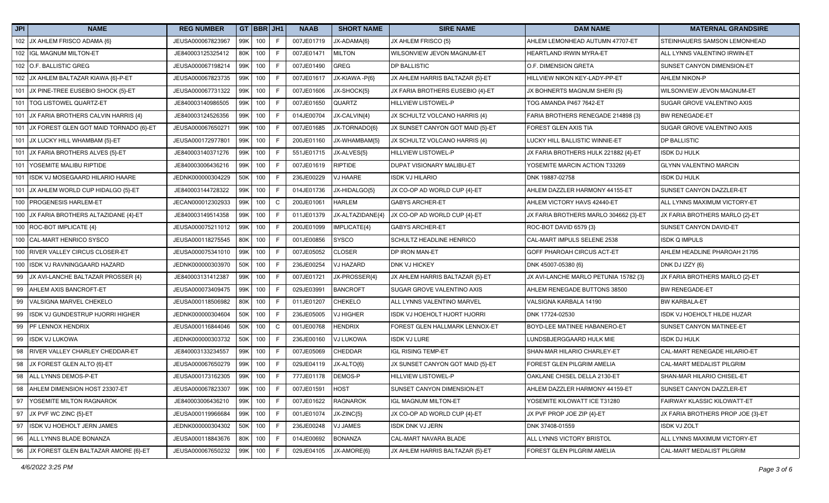| JPI | <b>NAME</b>                                | <b>REG NUMBER</b> |         | GT BBR JH1 |              | <b>NAAB</b> | <b>SHORT NAME</b> | <b>SIRE NAME</b>                 | <b>DAM NAME</b>                       | <b>MATERNAL GRANDSIRE</b>         |
|-----|--------------------------------------------|-------------------|---------|------------|--------------|-------------|-------------------|----------------------------------|---------------------------------------|-----------------------------------|
|     | 102 JX AHLEM FRISCO ADAMA {6}              | JEUSA000067823967 |         | 99K 100    | F            | 007JE01719  | JX-ADAMA{6}       | JX AHLEM FRISCO {5}              | AHLEM LEMONHEAD AUTUMN 47707-ET       | STEINHAUERS SAMSON LEMONHEAD      |
|     | 102 IGL MAGNUM MILTON-ET                   | JE840003125325412 |         | 80K 100    | F.           | 007JE01471  | <b>MILTON</b>     | WILSONVIEW JEVON MAGNUM-ET       | HEARTLAND IRWIN MYRA-ET               | ALL LYNNS VALENTINO IRWIN-ET      |
|     | 102 O.F. BALLISTIC GREG                    | JEUSA000067198214 | 99K     | 100        | F            | 007JE01490  | <b>GREG</b>       | DP BALLISTIC                     | O.F. DIMENSION GRETA                  | SUNSET CANYON DIMENSION-ET        |
|     | 102 JX AHLEM BALTAZAR KIAWA {6}-P-ET       | JEUSA000067823735 | 99K     | 100        | F            | 007JE01617  | JX-KIAWA -P{6}    | JX AHLEM HARRIS BALTAZAR {5}-ET  | HILLVIEW NIKON KEY-LADY-PP-ET         | AHLEM NIKON-P                     |
|     | 101 JX PINE-TREE EUSEBIO SHOCK {5}-ET      | JEUSA000067731322 | 99K     | 100        | F            | 007JE01606  | JX-SHOCK{5}       | JX FARIA BROTHERS EUSEBIO {4}-ET | JX BOHNERTS MAGNUM SHERI {5}          | WILSONVIEW JEVON MAGNUM-ET        |
|     | 101   TOG LISTOWEL QUARTZ-ET               | JE840003140986505 | 99K     | 100        | F.           | 007JE01650  | QUARTZ            | HILLVIEW LISTOWEL-P              | TOG AMANDA P467 7642-ET               | SUGAR GROVE VALENTINO AXIS        |
|     | 101 JX FARIA BROTHERS CALVIN HARRIS {4}    | JE840003124526356 |         | 99K 100    | F            | 014JE00704  | JX-CALVIN{4}      | JX SCHULTZ VOLCANO HARRIS {4}    | FARIA BROTHERS RENEGADE 214898 {3}    | <b>BW RENEGADE-ET</b>             |
|     | 101 JX FOREST GLEN GOT MAID TORNADO {6}-ET | JEUSA000067650271 |         | 99K 100    | F            | 007JE01685  | JX-TORNADO{6}     | JX SUNSET CANYON GOT MAID {5}-ET | FOREST GLEN AXIS TIA                  | SUGAR GROVE VALENTINO AXIS        |
|     | 101 JX LUCKY HILL WHAMBAM {5}-ET           | JEUSA000172977801 |         | 99K 100    | F            | 200JE01160  | JX-WHAMBAM{5}     | JX SCHULTZ VOLCANO HARRIS {4}    | LUCKY HILL BALLISTIC WINNIE-ET        | <b>DP BALLISTIC</b>               |
|     | 101 JX FARIA BROTHERS ALVES {5}-ET         | JE840003140371276 |         | 99K 100    | F            | 551JE01715  | JX-ALVES{5}       | HILLVIEW LISTOWEL-P              | JX FARIA BROTHERS HULK 221882 {4}-ET  | <b>ISDK DJ HULK</b>               |
|     | 101 YOSEMITE MALIBU RIPTIDE                | JE840003006436216 |         | 99K 100    | F            | 007JE01619  | RIPTIDE           | DUPAT VISIONARY MALIBU-ET        | YOSEMITE MARCIN ACTION T33269         | <b>GLYNN VALENTINO MARCIN</b>     |
|     | 101 ISDK VJ MOSEGAARD HILARIO HAARE        | JEDNK000000304229 | 50K     | 100        | F            | 236JE00229  | <b>VJ HAARE</b>   | <b>SDK VJ HILARIO</b>            | DNK 19887-02758                       | <b>ISDK DJ HULK</b>               |
|     | 101 JX AHLEM WORLD CUP HIDALGO {5}-ET      | JE840003144728322 |         | 99K 100    | F            | 014JE01736  | JX-HIDALGO{5}     | JX CO-OP AD WORLD CUP {4}-ET     | AHLEM DAZZLER HARMONY 44155-ET        | SUNSET CANYON DAZZLER-ET          |
|     | 100 PROGENESIS HARLEM-ET                   | JECAN000012302933 |         | 99K 100    | C            | 200JE01061  | <b>HARLEM</b>     | <b>GABYS ARCHER-ET</b>           | AHLEM VICTORY HAVS 42440-ET           | ALL LYNNS MAXIMUM VICTORY-ET      |
|     | 100 JX FARIA BROTHERS ALTAZIDANE {4}-ET    | JE840003149514358 |         | 99K 100    | F            | 011JE01379  | JX-ALTAZIDANE{4}  | JX CO-OP AD WORLD CUP {4}-ET     | JX FARIA BROTHERS MARLO 304662 {3}-ET | JX FARIA BROTHERS MARLO {2}-ET    |
|     | 100 ROC-BOT IMPLICATE {4}                  | JEUSA000075211012 |         | 99K 100    | F            | 200JE01099  | IMPLICATE{4}      | <b>GABYS ARCHER-ET</b>           | ROC-BOT DAVID 6579 {3}                | <b>SUNSET CANYON DAVID-ET</b>     |
|     | 100 CAL-MART HENRICO SYSCO                 | JEUSA000118275545 | 80K 100 |            | F            | 001JE00856  | SYSCO             | SCHULTZ HEADLINE HENRICO         | CAL-MART IMPULS SELENE 2538           | <b>ISDK Q IMPULS</b>              |
|     | 100 RIVER VALLEY CIRCUS CLOSER-ET          | JEUSA000075341010 |         | 99K 100    | F            | 007JE05052  | <b>CLOSER</b>     | DP IRON MAN-ET                   | GOFF PHAROAH CIRCUS ACT-ET            | AHLEM HEADLINE PHAROAH 21795      |
|     | 100 ISDK VJ RAVNINGGAARD HAZARD            | JEDNK000000303970 |         | 50K 100    | F            | 236JE00254  | VJ HAZARD         | <b>DNK VJ HICKEY</b>             | DNK 45007-05380 {6}                   | DNK DJ IZZY {6}                   |
| 99  | JX AVI-LANCHE BALTAZAR PROSSER {4}         | JE840003131412387 |         | 99K 100    | F            | 007JE01721  | JX-PROSSER{4}     | JX AHLEM HARRIS BALTAZAR {5}-ET  | JX AVI-LANCHE MARLO PETUNIA 15782 {3} | JX FARIA BROTHERS MARLO {2}-ET    |
| 99  | AHLEM AXIS BANCROFT-ET                     | JEUSA000073409475 | 99K 100 |            | F            | 029JE03991  | <b>BANCROFT</b>   | SUGAR GROVE VALENTINO AXIS       | AHLEM RENEGADE BUTTONS 38500          | <b>BW RENEGADE-ET</b>             |
| 99  | VALSIGNA MARVEL CHEKELO                    | JEUSA000118506982 |         | 80K 100    | F            | 011JE01207  | <b>CHEKELO</b>    | ALL LYNNS VALENTINO MARVEL       | VALSIGNA KARBALA 14190                | <b>BW KARBALA-ET</b>              |
| 99  | ISDK VJ GUNDESTRUP HJORRI HIGHER           | JEDNK000000304604 |         | 50K 100    | F.           | 236JE05005  | <b>VJ HIGHER</b>  | ISDK VJ HOEHOLT HJORT HJORRI     | DNK 17724-02530                       | ISDK VJ HOEHOLT HILDE HUZAR       |
| 99  | PF LENNOX HENDRIX                          | JEUSA000116844046 |         | 50K 100    | $\mathsf{C}$ | 001JE00768  | <b>HENDRIX</b>    | FOREST GLEN HALLMARK LENNOX-ET   | BOYD-LEE MATINEE HABANERO-ET          | SUNSET CANYON MATINEE-ET          |
| 99  | <b>ISDK VJ LUKOWA</b>                      | JEDNK000000303732 |         | 50K 100    | F.           | 236JE00160  | <b>VJ LUKOWA</b>  | ISDK VJ LURE                     | LUNDSBJERGGAARD HULK MIE              | <b>ISDK DJ HULK</b>               |
| 98  | <b>RIVER VALLEY CHARLEY CHEDDAR-ET</b>     | JE840003133234557 |         | 99K 100    | F            | 007JE05069  | <b>CHEDDAR</b>    | <b>IGL RISING TEMP-ET</b>        | SHAN-MAR HILARIO CHARLEY-ET           | CAL-MART RENEGADE HILARIO-ET      |
| 98  | JX FOREST GLEN ALTO {6}-ET                 | JEUSA000067650279 | 99K     | 100        | F.           | 029JE04119  | JX-ALTO{6}        | JX SUNSET CANYON GOT MAID {5}-ET | FOREST GLEN PILGRIM AMELIA            | CAL-MART MEDALIST PILGRIM         |
| 98  | ALL LYNNS DEMOS-P-ET                       | JEUSA000173162305 | 99K     | 100        | F.           | 777JE01178  | DEMOS-P           | HILLVIEW LISTOWEL-P              | OAKLANE CHISEL DELLA 2130-ET          | SHAN-MAR HILARIO CHISEL-ET        |
|     | 98 AHLEM DIMENSION HOST 23307-ET           | JEUSA000067823307 |         | 99K 100    | F.           | 007JE01591  | <b>HOST</b>       | SUNSET CANYON DIMENSION-ET       | AHLEM DAZZLER HARMONY 44159-ET        | <b>SUNSET CANYON DAZZLER-ET</b>   |
|     | 97 YOSEMITE MILTON RAGNAROK                | JE840003006436210 | 99K     | 100        | F            | 007JE01622  | <b>RAGNAROK</b>   | <b>IGL MAGNUM MILTON-ET</b>      | YOSEMITE KILOWATT ICE T31280          | FAIRWAY KLASSIC KILOWATT-ET       |
| 97  | JX PVF WC ZINC {5}-ET                      | JEUSA000119966684 |         | 99K 100    | F.           | 001JE01074  | JX-ZINC{5}        | JX CO-OP AD WORLD CUP {4}-ET     | JX PVF PROP JOE ZIP {4}-ET            | JX FARIA BROTHERS PROP JOE {3}-ET |
|     | 97 ISDK VJ HOEHOLT JERN JAMES              | JEDNK000000304302 |         | 50K 100    | F.           | 236JE00248  | <b>VJ JAMES</b>   | ISDK DNK VJ JERN                 | DNK 37408-01559                       | <b>ISDK VJ ZOLT</b>               |
|     | 96 ALL LYNNS BLADE BONANZA                 | JEUSA000118843676 | 80K     | 100        | F.           | 014JE00692  | <b>BONANZA</b>    | CAL-MART NAVARA BLADE            | ALL LYNNS VICTORY BRISTOL             | ALL LYNNS MAXIMUM VICTORY-ET      |
|     | 96 JX FOREST GLEN BALTAZAR AMORE {6}-ET    | JEUSA000067650232 |         | 99K 100    | F            | 029JE04105  | JX-AMORE{6}       | JX AHLEM HARRIS BALTAZAR {5}-ET  | FOREST GLEN PILGRIM AMELIA            | CAL-MART MEDALIST PILGRIM         |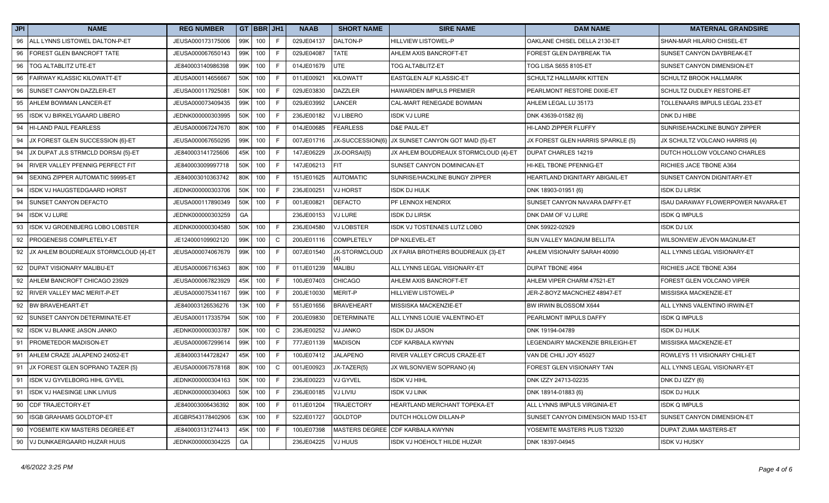| JPI | <b>NAME</b>                             | <b>REG NUMBER</b> |     | GT BBR JH1 |              | <b>NAAB</b> | <b>SHORT NAME</b>  | <b>SIRE NAME</b>                                  | <b>DAM NAME</b>                     | <b>MATERNAL GRANDSIRE</b>          |
|-----|-----------------------------------------|-------------------|-----|------------|--------------|-------------|--------------------|---------------------------------------------------|-------------------------------------|------------------------------------|
| 96  | ALL LYNNS LISTOWEL DALTON-P-ET          | JEUSA000173175006 |     | 99K 100    | F            | 029JE04137  | DALTON-P           | <b>HILLVIEW LISTOWEL-P</b>                        | OAKLANE CHISEL DELLA 2130-ET        | SHAN-MAR HILARIO CHISEL-ET         |
| 96  | FOREST GLEN BANCROFT TATE               | JEUSA000067650143 | 99K | 100        | F            | 029JE04087  | <b>TATE</b>        | AHLEM AXIS BANCROFT-ET                            | FOREST GLEN DAYBREAK TIA            | SUNSET CANYON DAYBREAK-ET          |
| 96  | <b>TOG ALTABLITZ UTE-ET</b>             | JE840003140986398 | 99K | 100        | F            | 014JE01679  | UTE                | TOG ALTABLITZ-ET                                  | TOG LISA S655 8105-ET               | SUNSET CANYON DIMENSION-ET         |
| 96  | FAIRWAY KLASSIC KILOWATT-ET             | JEUSA000114656667 |     | 50K 100    | F            | 011JE00921  | KILOWATT           | <b>EASTGLEN ALF KLASSIC-ET</b>                    | SCHULTZ HALLMARK KITTEN             | <b>SCHULTZ BROOK HALLMARK</b>      |
| 96  | SUNSET CANYON DAZZLER-ET                | JEUSA000117925081 |     | 50K 100    | F            | 029JE03830  | <b>DAZZLER</b>     | HAWARDEN IMPULS PREMIER                           | PEARLMONT RESTORE DIXIE-ET          | SCHULTZ DUDLEY RESTORE-ET          |
| 95  | AHLEM BOWMAN LANCER-ET                  | JEUSA000073409435 |     | 99K 100    | F            | 029JE03992  | LANCER             | CAL-MART RENEGADE BOWMAN                          | AHLEM LEGAL LU 35173                | TOLLENAARS IMPULS LEGAL 233-ET     |
| 95  | ISDK VJ BIRKELYGAARD LIBERO             | JEDNK000000303995 |     | 50K 100    | F            | 236JE00182  | VJ LIBERO          | <b>ISDK VJ LURE</b>                               | DNK 43639-01582 {6}                 | DNK DJ HIBE                        |
| 94  | HI-LAND PAUL FEARLESS                   | JEUSA000067247670 | 80K | 100        | F            | 014JE00685  | <b>FEARLESS</b>    | D&E PAUL-ET                                       | HI-LAND ZIPPER FLUFFY               | SUNRISE/HACKLINE BUNGY ZIPPER      |
| 94  | JX FOREST GLEN SUCCESSION {6}-ET        | JEUSA000067650295 |     | 99K 100    | F            | 007JE01716  |                    | JX-SUCCESSION{6} JX SUNSET CANYON GOT MAID {5}-ET | JX FOREST GLEN HARRIS SPARKLE {5}   | JX SCHULTZ VOLCANO HARRIS {4}      |
| 94  | JX DUPAT JLS STRMCLD DORSAI {5}-ET      | JE840003141725606 |     | 45K 100    | F            | 147JE06229  | JX-DORSAI{5}       | JX AHLEM BOUDREAUX STORMCLOUD {4}-ET              | <b>DUPAT CHARLES 14219</b>          | DUTCH HOLLOW VOLCANO CHARLES       |
| 94  | RIVER VALLEY PFENNIG PERFECT FIT        | JE840003009997718 | 50K | 100        | F            | 147JE06213  | <b>FIT</b>         | SUNSET CANYON DOMINICAN-ET                        | HI-KEL TBONE PFENNIG-ET             | RICHIES JACE TBONE A364            |
| 94  | SEXING ZIPPER AUTOMATIC 59995-ET        | JE840003010363742 |     | 80K 100    | F            | 151JE01625  | <b>AUTOMATIC</b>   | SUNRISE/HACKLINE BUNGY ZIPPER                     | HEARTLAND DIGNITARY ABIGAIL-ET      | SUNSET CANYON DIGNITARY-ET         |
| 94  | ISDK VJ HAUGSTEDGAARD HORST             | JEDNK000000303706 |     | 50K 100    | F            | 236JE00251  | VJ HORST           | <b>ISDK DJ HULK</b>                               | DNK 18903-01951 {6}                 | <b>ISDK DJ LIRSK</b>               |
| 94  | SUNSET CANYON DEFACTO                   | JEUSA000117890349 | 50K | 100        | F            | 001JE00821  | <b>DEFACTO</b>     | PF LENNOX HENDRIX                                 | SUNSET CANYON NAVARA DAFFY-ET       | ISAU DARAWAY FLOWERPOWER NAVARA-ET |
| 94  | <b>ISDK VJ LURE</b>                     | JEDNK000000303259 | GA  |            |              | 236JE00153  | VJ LURE            | <b>ISDK DJ LIRSK</b>                              | DNK DAM OF VJ LURE                  | <b>ISDK Q IMPULS</b>               |
| 93  | ISDK VJ GROENBJERG LOBO LOBSTER         | JEDNK000000304580 |     | 50K 100    | F            | 236JE04580  | VJ LOBSTER         | ISDK VJ TOSTENAES LUTZ LOBO                       | DNK 59922-02929                     | <b>ISDK DJ LIX</b>                 |
| 92  | PROGENESIS COMPLETELY-ET                | JE124000109902120 |     | 99K 100    | $\mathsf{C}$ | 200JE01116  | <b>COMPLETELY</b>  | DP NXLEVEL-ET                                     | SUN VALLEY MAGNUM BELLITA           | WILSONVIEW JEVON MAGNUM-ET         |
|     | 92 JX AHLEM BOUDREAUX STORMCLOUD {4}-ET | JEUSA000074067679 |     | 99K 100    | F            | 007JE01540  | JX-STORMCLOUD      | JX FARIA BROTHERS BOUDREAUX {3}-ET                | AHLEM VISIONARY SARAH 40090         | ALL LYNNS LEGAL VISIONARY-ET       |
| 92  | DUPAT VISIONARY MALIBU-ET               | JEUSA000067163463 | 80K | 100        | F            | 011JE01239  | <b>MALIBU</b>      | ALL LYNNS LEGAL VISIONARY-ET                      | <b>DUPAT TBONE 4964</b>             | RICHIES JACE TBONE A364            |
| 92  | AHLEM BANCROFT CHICAGO 23929            | JEUSA000067823929 |     | 45K 100    | F            | 100JE07403  | CHICAGO            | AHLEM AXIS BANCROFT-ET                            | AHLEM VIPER CHARM 47521-ET          | FOREST GLEN VOLCANO VIPER          |
| 92  | RIVER VALLEY MAC MERIT-P-ET             | JEUSA000075341167 | 99K | 100        | F            | 200JE10030  | MERIT-P            | <b>HILLVIEW LISTOWEL-P</b>                        | JER-Z-BOYZ MACNCHEZ 48947-ET        | MISSISKA MACKENZIE-ET              |
| 92  | <b>BW BRAVEHEART-ET</b>                 | JE840003126536276 |     | 13K 100    | F            | 551JE01656  | <b>BRAVEHEART</b>  | MISSISKA MACKENZIE-ET                             | BW IRWIN BLOSSOM X644               | ALL LYNNS VALENTINO IRWIN-ET       |
| 92  | SUNSET CANYON DETERMINATE-ET            | JEUSA000117335794 |     | 50K 100    | F.           | 200JE09830  | <b>DETERMINATE</b> | ALL LYNNS LOUIE VALENTINO-ET                      | PEARLMONT IMPULS DAFFY              | <b>ISDK Q IMPULS</b>               |
| 92  | ISDK VJ BLANKE JASON JANKO              | JEDNK000000303787 | 50K | 100        | C            | 236JE00252  | VJ JANKO           | ISDK DJ JASON                                     | DNK 19194-04789                     | <b>ISDK DJ HULK</b>                |
| 91  | PROMETEDOR MADISON-ET                   | JEUSA000067299614 | 99K | 100        | F.           | 777JE01139  | <b>MADISON</b>     | <b>CDF KARBALA KWYNN</b>                          | LEGENDAIRY MACKENZIE BRILEIGH-ET    | MISSISKA MACKENZIE-ET              |
| 91  | AHLEM CRAZE JALAPENO 24052-ET           | JE840003144728247 | 45K | 100        | F            | 100JE07412  | <b>JALAPENO</b>    | <b>RIVER VALLEY CIRCUS CRAZE-ET</b>               | VAN DE CHILI JOY 45027              | ROWLEYS 11 VISIONARY CHILI-ET      |
| 91  | JX FOREST GLEN SOPRANO TAZER {5}        | JEUSA000067578168 |     | 80K 100    | $\mathsf{C}$ | 001JE00923  | JX-TAZER{5}        | JX WILSONVIEW SOPRANO {4}                         | FOREST GLEN VISIONARY TAN           | ALL LYNNS LEGAL VISIONARY-ET       |
| 91  | ISDK VJ GYVELBORG HIHL GYVEL            | JEDNK000000304163 |     | 50K 100    | F            | 236JE00223  | VJ GYVEL           | <b>ISDK VJ HIHL</b>                               | DNK IZZY 24713-02235                | DNK DJ IZZY {6}                    |
| 91  | ISDK VJ HAESINGE LINK LIVIUS            | JEDNK000000304063 |     | 50K 100    | F            | 236JE00185  | VJ LIVIU           | <b>ISDK VJ LINK</b>                               | DNK 18914-01883 {6}                 | <b>ISDK DJ HULK</b>                |
| 90  | CDF TRAJECTORY-ET                       | JE840003006436392 |     | 80K 100    | F.           | 011JE01204  | <b>TRAJECTORY</b>  | HEARTLAND MERCHANT TOPEKA-ET                      | ALL LYNNS IMPULS VIRGINIA-ET        | <b>ISDK Q IMPULS</b>               |
| 90  | ISGB GRAHAMS GOLDTOP-ET                 | JEGBR543178402906 |     | 63K 100    | F            | 522JE01727  | <b>GOLDTOP</b>     | DUTCH HOLLOW DILLAN-P                             | SUNSET CANYON DIMENSION MAID 153-ET | SUNSET CANYON DIMENSION-ET         |
| 90  | YOSEMITE KW MASTERS DEGREE-ET           | JE840003131274413 | 45K | 100        | F            | 100JE07398  |                    | MASTERS DEGREE CDF KARBALA KWYNN                  | YOSEMITE MASTERS PLUS T32320        | DUPAT ZUMA MASTERS-ET              |
|     | 90 VJ DUNKAERGAARD HUZAR HUUS           | JEDNK000000304225 | GA  |            |              | 236JE04225  | VJ HUUS            | ISDK VJ HOEHOLT HILDE HUZAR                       | DNK 18397-04945                     | <b>ISDK VJ HUSKY</b>               |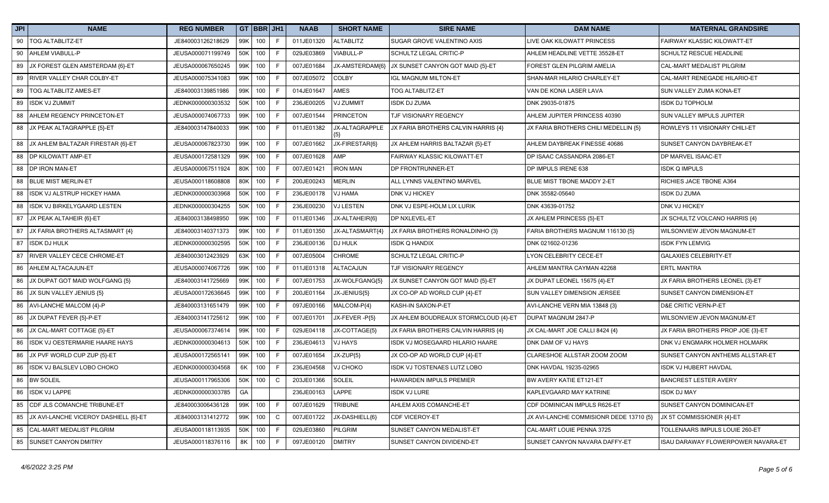| JPI | <b>NAME</b>                           | <b>REG NUMBER</b> |     | GT BBR JH1 |              | <b>NAAB</b> | <b>SHORT NAME</b> | <b>SIRE NAME</b>                     | <b>DAM NAME</b>                         | <b>MATERNAL GRANDSIRE</b>          |
|-----|---------------------------------------|-------------------|-----|------------|--------------|-------------|-------------------|--------------------------------------|-----------------------------------------|------------------------------------|
| 90  | TOG ALTABLITZ-ET                      | JE840003126218629 | 99K | 100        | F            | 011JE01320  | <b>ALTABLITZ</b>  | SUGAR GROVE VALENTINO AXIS           | LIVE OAK KILOWATT PRINCESS              | FAIRWAY KLASSIC KILOWATT-ET        |
| 90  | AHLEM VIABULL-P                       | JEUSA000071199749 | 50K | 100        | F            | 029JE03869  | VIABULL-P         | SCHULTZ LEGAL CRITIC-P               | AHLEM HEADLINE VETTE 35528-ET           | SCHULTZ RESCUE HEADLINE            |
| 89  | JX FOREST GLEN AMSTERDAM {6}-ET       | JEUSA000067650245 | 99K | 100        | F            | 007JE01684  | JX-AMSTERDAM{6}   | JX SUNSET CANYON GOT MAID {5}-ET     | FOREST GLEN PILGRIM AMELIA              | CAL-MART MEDALIST PILGRIM          |
| 89  | RIVER VALLEY CHAR COLBY-ET            | JEUSA000075341083 |     | 99K 100    | F            | 007JE05072  | <b>COLBY</b>      | <b>IGL MAGNUM MILTON-ET</b>          | SHAN-MAR HILARIO CHARLEY-ET             | CAL-MART RENEGADE HILARIO-ET       |
| 89  | TOG ALTABLITZ AMES-ET                 | JE840003139851986 | 99K | 100        | F            | 014JE01647  | <b>AMES</b>       | <b>TOG ALTABLITZ-ET</b>              | VAN DE KONA LASER LAVA                  | SUN VALLEY ZUMA KONA-ET            |
| 89  | <b>ISDK VJ ZUMMIT</b>                 | JEDNK000000303532 | 50K | 100        | F            | 236JE00205  | VJ ZUMMIT         | <b>ISDK DJ ZUMA</b>                  | DNK 29035-01875                         | <b>ISDK DJ TOPHOLM</b>             |
| 88  | AHLEM REGENCY PRINCETON-ET            | JEUSA000074067733 | 99K | 100        | F            | 007JE01544  | <b>PRINCETON</b>  | TJF VISIONARY REGENCY                | AHLEM JUPITER PRINCESS 40390            | SUN VALLEY IMPULS JUPITER          |
|     | 88 JX PEAK ALTAGRAPPLE {5}-ET         | JE840003147840033 |     | 99K 100    | F            | 011JE01382  | JX-ALTAGRAPPLE    | JX FARIA BROTHERS CALVIN HARRIS {4}  | JX FARIA BROTHERS CHILI MEDELLIN {5}    | ROWLEYS 11 VISIONARY CHILI-ET      |
| 88  | JX AHLEM BALTAZAR FIRESTAR {6}-ET     | JEUSA000067823730 | 99K | 100        | F            | 007JE01662  | JX-FIRESTAR{6}    | JX AHLEM HARRIS BALTAZAR {5}-ET      | AHLEM DAYBREAK FINESSE 40686            | SUNSET CANYON DAYBREAK-ET          |
| 88  | DP KILOWATT AMP-ET                    | JEUSA000172581329 | 99K | 100        | $\mathsf F$  | 007JE01628  | AMP               | FAIRWAY KLASSIC KILOWATT-ET          | DP ISAAC CASSANDRA 2086-ET              | DP MARVEL ISAAC-ET                 |
| 88  | <b>DP IRON MAN-ET</b>                 | JEUSA000067511924 |     | 80K 100    | F            | 007JE01421  | <b>IRON MAN</b>   | DP FRONTRUNNER-ET                    | DP IMPULS IRENE 638                     | <b>ISDK Q IMPULS</b>               |
| 88  | <b>BLUE MIST MERLIN-ET</b>            | JEUSA000118608808 |     | 80K 100    | F            | 200JE00243  | <b>MERLIN</b>     | ALL LYNNS VALENTINO MARVEL           | BLUE MIST TBONE MADDY 2-ET              | RICHIES JACE TBONE A364            |
| 88  | ISDK VJ ALSTRUP HICKEY HAMA           | JEDNK000000303968 | 50K | 100        | F            | 236JE00178  | <b>VJ HAMA</b>    | <b>DNK VJ HICKEY</b>                 | DNK 35582-05640                         | <b>ISDK DJ ZUMA</b>                |
| 88  | ISDK VJ BIRKELYGAARD LESTEN           | JEDNK000000304255 | 50K | 100        | F            | 236JE00230  | <b>VJ LESTEN</b>  | DNK VJ ESPE-HOLM LIX LURIK           | DNK 43639-01752                         | DNK VJ HICKEY                      |
| 87  | JX PEAK ALTAHEIR {6}-ET               | JE840003138498950 | 99K | 100        | F            | 011JE01346  | JX-ALTAHEIR{6}    | DP NXLEVEL-ET                        | JX AHLEM PRINCESS {5}-ET                | JX SCHULTZ VOLCANO HARRIS {4}      |
| 87  | JX FARIA BROTHERS ALTASMART {4}       | JE840003140371373 |     | 99K 100    | $\mathsf F$  | 011JE01350  | JX-ALTASMART{4}   | JX FARIA BROTHERS RONALDINHO {3}     | FARIA BROTHERS MAGNUM 116130 {5}        | WILSONVIEW JEVON MAGNUM-ET         |
| 87  | <b>ISDK DJ HULK</b>                   | JEDNK000000302595 |     | 50K 100    | F            | 236JE00136  | <b>DJ HULK</b>    | <b>ISDK Q HANDIX</b>                 | DNK 021602-01236                        | <b>ISDK FYN LEMVIG</b>             |
| 87  | <b>RIVER VALLEY CECE CHROME-ET</b>    | JE840003012423929 |     | 63K 100    | F            | 007JE05004  | <b>CHROME</b>     | SCHULTZ LEGAL CRITIC-P               | <b>LYON CELEBRITY CECE-ET</b>           | <b>GALAXIES CELEBRITY-ET</b>       |
| 86  | AHLEM ALTACAJUN-ET                    | JEUSA000074067726 | 99K | 100        | F            | 011JE01318  | ALTACAJUN         | TJF VISIONARY REGENCY                | AHLEM MANTRA CAYMAN 42268               | <b>ERTL MANTRA</b>                 |
| 86  | JX DUPAT GOT MAID WOLFGANG {5}        | JE840003141725669 |     | 99K 100    | F            | 007JE01753  | JX-WOLFGANG{5}    | JX SUNSET CANYON GOT MAID {5}-ET     | JX DUPAT LEONEL 15675 {4}-ET            | JX FARIA BROTHERS LEONEL {3}-ET    |
| 86  | JX SUN VALLEY JENIUS {5}              | JEUSA000172636645 | 99K | 100        | F            | 200JE01164  | JX-JENIUS{5}      | JX CO-OP AD WORLD CUP {4}-ET         | SUN VALLEY DIMENSION JERSEE             | SUNSET CANYON DIMENSION-ET         |
| 86  | AVI-LANCHE MALCOM {4}-P               | JE840003131651479 |     | 99K 100    | F            | 097JE00166  | MALCOM-P{4}       | KASH-IN SAXON-P-ET                   | AVI-LANCHE VERN MIA 13848 {3}           | D&E CRITIC VERN-P-ET               |
|     | 86 JX DUPAT FEVER {5}-P-ET            | JE840003141725612 |     | 99K 100    | F            | 007JE01701  | JX-FEVER -P{5}    | JX AHLEM BOUDREAUX STORMCLOUD {4}-ET | DUPAT MAGNUM 2847-P                     | WILSONVIEW JEVON MAGNUM-ET         |
| 86  | JX CAL-MART COTTAGE {5}-ET            | JEUSA000067374614 | 99K | 100        | F            | 029JE04118  | JX-COTTAGE{5}     | JX FARIA BROTHERS CALVIN HARRIS {4}  | JX CAL-MART JOE CALLI 8424 {4}          | JX FARIA BROTHERS PROP JOE {3}-ET  |
| 86  | ISDK VJ OESTERMARIE HAARE HAYS        | JEDNK000000304613 | 50K | 100        | F            | 236JE04613  | <b>VJ HAYS</b>    | ISDK VJ MOSEGAARD HILARIO HAARE      | DNK DAM OF VJ HAYS                      | DNK VJ ENGMARK HOLMER HOLMARK      |
| 86  | JX PVF WORLD CUP ZUP {5}-ET           | JEUSA000172565141 | 99K | 100        | F            | 007JE01654  | JX-ZUP{5}         | JX CO-OP AD WORLD CUP {4}-ET         | CLARESHOE ALLSTAR ZOOM ZOOM             | SUNSET CANYON ANTHEMS ALLSTAR-ET   |
| 86  | ISDK VJ BALSLEV LOBO CHOKO            | JEDNK000000304568 | 6K  | 100        | $\mathsf F$  | 236JE04568  | VJ CHOKO          | ISDK VJ TOSTENAES LUTZ LOBO          | DNK HAVDAL 19235-02965                  | ISDK VJ HUBERT HAVDAL              |
| 86  | <b>BW SOLEIL</b>                      | JEUSA000117965306 |     | 50K 100    | $\mathsf{C}$ | 203JE01366  | SOLEIL            | HAWARDEN IMPULS PREMIER              | BW AVERY KATIE ET121-ET                 | <b>BANCREST LESTER AVERY</b>       |
| 86  | <b>ISDK VJ LAPPE</b>                  | JEDNK000000303785 | GA  |            |              | 236JE00163  | <b>LAPPE</b>      | ISDK VJ LURE                         | KAPLEVGAARD MAY KATRINE                 | <b>ISDK DJ MAY</b>                 |
| 85  | CDF JLS COMANCHE TRIBUNE-ET           | JE840003006436128 | 99K | 100        | F            | 007JE01629  | <b>TRIBUNE</b>    | AHLEM AXIS COMANCHE-ET               | CDF DOMINICAN IMPULS R626-ET            | SUNSET CANYON DOMINICAN-ET         |
| 85  | JX AVI-LANCHE VICEROY DASHIELL {6}-ET | JE840003131412772 |     | 99K 100    | $\mathsf{C}$ | 007JE01722  | JX-DASHIELL{6}    | <b>CDF VICEROY-ET</b>                | JX AVI-LANCHE COMMISIONR DEDE 13710 {5} | JX 5T COMMISSIONER {4}-ET          |
| 85  | CAL-MART MEDALIST PILGRIM             | JEUSA000118113935 | 50K | 100        | F            | 029JE03860  | PILGRIM           | SUNSET CANYON MEDALIST-ET            | CAL-MART LOUIE PENNA 3725               | TOLLENAARS IMPULS LOUIE 260-ET     |
| 85  | <b>SUNSET CANYON DMITRY</b>           | JEUSA000118376116 | 8K  | 100        | F            | 097JE00120  | <b>DMITRY</b>     | SUNSET CANYON DIVIDEND-ET            | SUNSET CANYON NAVARA DAFFY-ET           | ISAU DARAWAY FLOWERPOWER NAVARA-ET |